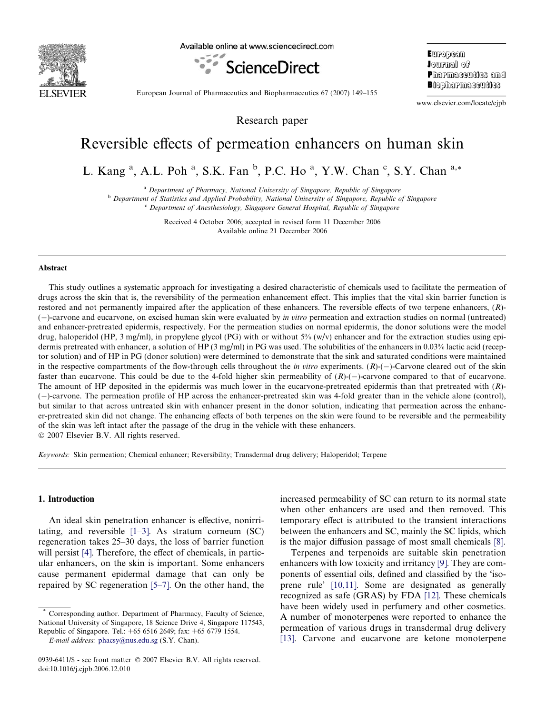

Available online at www.sciencedirect.com



**E**uropean  $1$ ournal o $\theta$ Pharmaceutics and **B**iopharmaceutics

European Journal of Pharmaceutics and Biopharmaceutics 67 (2007) 149–155

www.elsevier.com/locate/ejpb

Research paper

# Reversible effects of permeation enhancers on human skin

L. Kang<sup>a</sup>, A.L. Poh<sup>a</sup>, S.K. Fan<sup>b</sup>, P.C. Ho<sup>a</sup>, Y.W. Chan<sup>c</sup>, S.Y. Chan<sup>a,\*</sup>

<sup>a</sup> Department of Pharmacy, National University of Singapore, Republic of Singapore

 $b$  Department of Statistics and Applied Probability, National University of Singapore, Republic of Singapore

<sup>c</sup> Department of Anesthesiology, Singapore General Hospital, Republic of Singapore

Received 4 October 2006; accepted in revised form 11 December 2006 Available online 21 December 2006

#### Abstract

This study outlines a systematic approach for investigating a desired characteristic of chemicals used to facilitate the permeation of drugs across the skin that is, the reversibility of the permeation enhancement effect. This implies that the vital skin barrier function is restored and not permanently impaired after the application of these enhancers. The reversible effects of two terpene enhancers, (R)- (-)-carvone and eucarvone, on excised human skin were evaluated by in vitro permeation and extraction studies on normal (untreated) and enhancer-pretreated epidermis, respectively. For the permeation studies on normal epidermis, the donor solutions were the model drug, haloperidol (HP, 3 mg/ml), in propylene glycol (PG) with or without  $5\%$  (w/v) enhancer and for the extraction studies using epidermis pretreated with enhancer, a solution of HP (3 mg/ml) in PG was used. The solubilities of the enhancers in 0.03% lactic acid (receptor solution) and of HP in PG (donor solution) were determined to demonstrate that the sink and saturated conditions were maintained in the respective compartments of the flow-through cells throughout the *in vitro* experiments.  $(R)$ - $(-)$ -Carvone cleared out of the skin faster than eucarvone. This could be due to the 4-fold higher skin permeability of  $(R)$ - $(-)$ -carvone compared to that of eucarvone. The amount of HP deposited in the epidermis was much lower in the eucarvone-pretreated epidermis than that pretreated with (R)- (-)-carvone. The permeation profile of HP across the enhancer-pretreated skin was 4-fold greater than in the vehicle alone (control), but similar to that across untreated skin with enhancer present in the donor solution, indicating that permeation across the enhancer-pretreated skin did not change. The enhancing effects of both terpenes on the skin were found to be reversible and the permeability of the skin was left intact after the passage of the drug in the vehicle with these enhancers. © 2007 Elsevier B.V. All rights reserved.

Keywords: Skin permeation; Chemical enhancer; Reversibility; Transdermal drug delivery; Haloperidol; Terpene

# 1. Introduction

An ideal skin penetration enhancer is effective, nonirritating, and reversible  $[1-3]$ . As stratum corneum  $SC$ ) regeneration takes 25–30 days, the loss of barrier function will persist [\[4\].](#page-5-0) Therefore, the effect of chemicals, in particular enhancers, on the skin is important. Some enhancers cause permanent epidermal damage that can only be repaired by SC regeneration [\[5–7\].](#page-5-0) On the other hand, the increased permeability of SC can return to its normal state when other enhancers are used and then removed. This temporary effect is attributed to the transient interactions between the enhancers and SC, mainly the SC lipids, which is the major diffusion passage of most small chemicals [\[8\]](#page-5-0).

Terpenes and terpenoids are suitable skin penetration enhancers with low toxicity and irritancy [\[9\].](#page-5-0) They are components of essential oils, defined and classified by the 'isoprene rule' [\[10,11\]](#page-5-0). Some are designated as generally recognized as safe (GRAS) by FDA [\[12\]](#page-5-0). These chemicals have been widely used in perfumery and other cosmetics. A number of monoterpenes were reported to enhance the permeation of various drugs in transdermal drug delivery [\[13\].](#page-5-0) Carvone and eucarvone are ketone monoterpene

Corresponding author. Department of Pharmacy, Faculty of Science, National University of Singapore, 18 Science Drive 4, Singapore 117543, Republic of Singapore. Tel.: +65 6516 2649; fax: +65 6779 1554.

E-mail address: [phacsy@nus.edu.sg](mailto:phacsy@nus.edu.sg) (S.Y. Chan).

<sup>0939-6411/\$ -</sup> see front matter © 2007 Elsevier B.V. All rights reserved. doi:10.1016/j.ejpb.2006.12.010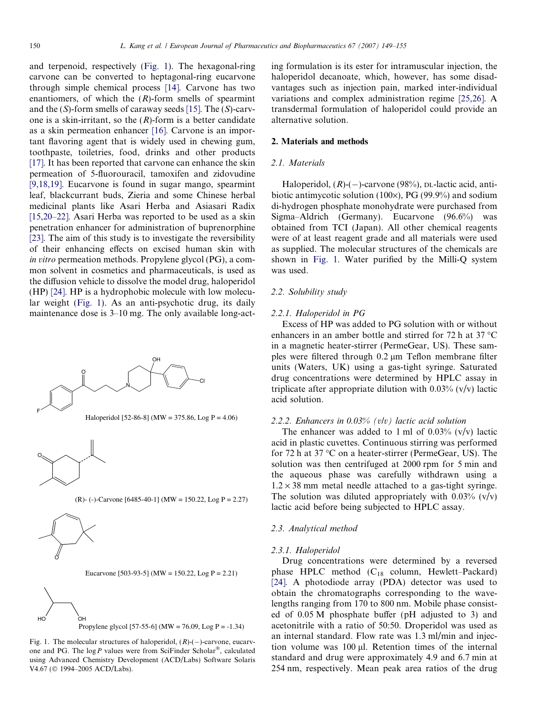and terpenoid, respectively (Fig. 1). The hexagonal-ring carvone can be converted to heptagonal-ring eucarvone through simple chemical process [\[14\].](#page-5-0) Carvone has two enantiomers, of which the  $(R)$ -form smells of spearmint and the  $(S)$ -form smells of caraway seeds [\[15\]](#page-5-0). The  $(S)$ -carvone is a skin-irritant, so the  $(R)$ -form is a better candidate as a skin permeation enhancer [\[16\]](#page-5-0). Carvone is an important flavoring agent that is widely used in chewing gum, toothpaste, toiletries, food, drinks and other products [\[17\]](#page-5-0). It has been reported that carvone can enhance the skin permeation of 5-fluorouracil, tamoxifen and zidovudine [\[9,18,19\]](#page-5-0). Eucarvone is found in sugar mango, spearmint leaf, blackcurrant buds, Zieria and some Chinese herbal medicinal plants like Asari Herba and Asiasari Radix [\[15,20–22\].](#page-5-0) Asari Herba was reported to be used as a skin penetration enhancer for administration of buprenorphine [\[23\]](#page-5-0). The aim of this study is to investigate the reversibility of their enhancing effects on excised human skin with in vitro permeation methods. Propylene glycol (PG), a common solvent in cosmetics and pharmaceuticals, is used as the diffusion vehicle to dissolve the model drug, haloperidol (HP) [\[24\].](#page-5-0) HP is a hydrophobic molecule with low molecular weight (Fig. 1). As an anti-psychotic drug, its daily maintenance dose is 3–10 mg. The only available long-act-



Haloperidol [52-86-8] (MW = 375.86, Log P = 4.06)



 $(R)$ - (-)-Carvone [6485-40-1] (MW = 150.22, Log P = 2.27)









Fig. 1. The molecular structures of haloperidol,  $(R)$ - $(-)$ -carvone, eucarvone and PG. The log P values were from SciFinder Scholar®, calculated using Advanced Chemistry Development (ACD/Labs) Software Solaris V4.67 (© 1994–2005 ACD/Labs).

ing formulation is its ester for intramuscular injection, the haloperidol decanoate, which, however, has some disadvantages such as injection pain, marked inter-individual variations and complex administration regime [\[25,26\].](#page-5-0) A transdermal formulation of haloperidol could provide an alternative solution.

# 2. Materials and methods

# 2.1. Materials

Haloperidol,  $(R)$ - $(-)$ -carvone (98%), DL-lactic acid, antibiotic antimycotic solution (100 $\times$ ), PG (99.9%) and sodium di-hydrogen phosphate monohydrate were purchased from Sigma–Aldrich (Germany). Eucarvone (96.6%) was obtained from TCI (Japan). All other chemical reagents were of at least reagent grade and all materials were used as supplied. The molecular structures of the chemicals are shown in Fig. 1. Water purified by the Milli-Q system was used.

## 2.2. Solubility study

#### 2.2.1. Haloperidol in PG

Excess of HP was added to PG solution with or without enhancers in an amber bottle and stirred for 72 h at 37  $^{\circ}$ C in a magnetic heater-stirrer (PermeGear, US). These samples were filtered through 0.2 um Teflon membrane filter units (Waters, UK) using a gas-tight syringe. Saturated drug concentrations were determined by HPLC assay in triplicate after appropriate dilution with  $0.03\%$  (v/v) lactic acid solution.

#### 2.2.2. Enhancers in 0.03% (v/v) lactic acid solution

The enhancer was added to 1 ml of  $0.03\%$  (v/v) lactic acid in plastic cuvettes. Continuous stirring was performed for 72 h at 37  $\degree$ C on a heater-stirrer (PermeGear, US). The solution was then centrifuged at 2000 rpm for 5 min and the aqueous phase was carefully withdrawn using a  $1.2 \times 38$  mm metal needle attached to a gas-tight syringe. The solution was diluted appropriately with  $0.03\%$  (v/v) lactic acid before being subjected to HPLC assay.

# 2.3. Analytical method

#### 2.3.1. Haloperidol

Drug concentrations were determined by a reversed phase HPLC method (C<sub>18</sub> column, Hewlett–Packard) [\[24\]](#page-5-0). A photodiode array (PDA) detector was used to obtain the chromatographs corresponding to the wavelengths ranging from 170 to 800 nm. Mobile phase consisted of 0.05 M phosphate buffer (pH adjusted to 3) and acetonitrile with a ratio of 50:50. Droperidol was used as an internal standard. Flow rate was 1.3 ml/min and injection volume was  $100 \mu l$ . Retention times of the internal standard and drug were approximately 4.9 and 6.7 min at 254 nm, respectively. Mean peak area ratios of the drug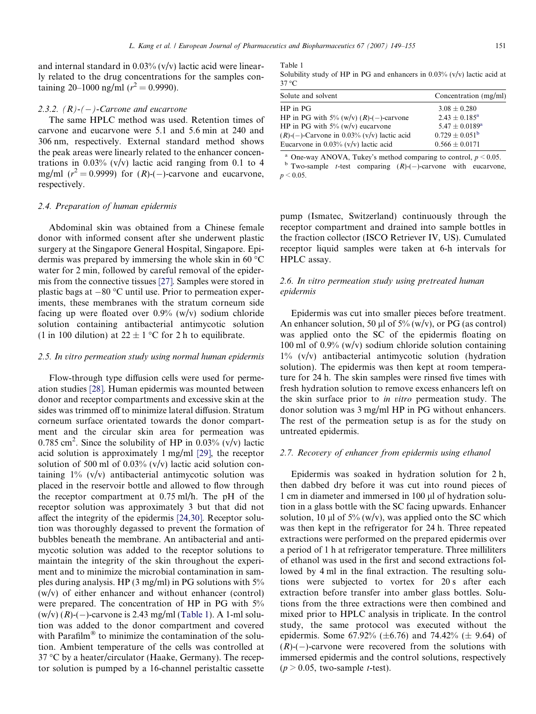<span id="page-2-0"></span>and internal standard in  $0.03\%$  (v/v) lactic acid were linearly related to the drug concentrations for the samples containing 20–1000 ng/ml ( $r^2 = 0.9990$ ).

# 2.3.2.  $(R)-(-)$ -Carvone and eucarvone

The same HPLC method was used. Retention times of carvone and eucarvone were 5.1 and 5.6 min at 240 and 306 nm, respectively. External standard method shows the peak areas were linearly related to the enhancer concentrations in  $0.03\%$  (v/v) lactic acid ranging from 0.1 to 4 mg/ml  $(r^2 = 0.9999)$  for  $(R)$ -(-)-carvone and eucarvone, respectively.

# 2.4. Preparation of human epidermis

Abdominal skin was obtained from a Chinese female donor with informed consent after she underwent plastic surgery at the Singapore General Hospital, Singapore. Epidermis was prepared by immersing the whole skin in 60 $\degree$ C water for 2 min, followed by careful removal of the epidermis from the connective tissues [\[27\].](#page-5-0) Samples were stored in plastic bags at  $-80$  °C until use. Prior to permeation experiments, these membranes with the stratum corneum side facing up were floated over  $0.9\%$  (w/v) sodium chloride solution containing antibacterial antimycotic solution (1 in 100 dilution) at  $22 \pm 1$  °C for 2 h to equilibrate.

#### 2.5. In vitro permeation study using normal human epidermis

Flow-through type diffusion cells were used for permeation studies [\[28\].](#page-6-0) Human epidermis was mounted between donor and receptor compartments and excessive skin at the sides was trimmed off to minimize lateral diffusion. Stratum corneum surface orientated towards the donor compartment and the circular skin area for permeation was 0.785 cm<sup>2</sup>. Since the solubility of HP in  $0.03\%$  (v/v) lactic acid solution is approximately 1 mg/ml [\[29\]](#page-6-0), the receptor solution of 500 ml of  $0.03\%$  (v/v) lactic acid solution containing  $1\%$  (v/v) antibacterial antimycotic solution was placed in the reservoir bottle and allowed to flow through the receptor compartment at 0.75 ml/h. The pH of the receptor solution was approximately 3 but that did not affect the integrity of the epidermis [\[24,30\].](#page-5-0) Receptor solution was thoroughly degassed to prevent the formation of bubbles beneath the membrane. An antibacterial and antimycotic solution was added to the receptor solutions to maintain the integrity of the skin throughout the experiment and to minimize the microbial contamination in samples during analysis. HP (3 mg/ml) in PG solutions with 5%  $(w/v)$  of either enhancer and without enhancer (control) were prepared. The concentration of HP in PG with 5%  $(w/v)$   $(R)$ - $(-)$ -carvone is 2.43 mg/ml (Table 1). A 1-ml solution was added to the donor compartment and covered with Parafilm<sup>®</sup> to minimize the contamination of the solution. Ambient temperature of the cells was controlled at  $37 \text{ °C}$  by a heater/circulator (Haake, Germany). The receptor solution is pumped by a 16-channel peristaltic cassette

Table 1

Solubility study of HP in PG and enhancers in  $0.03\%$  (v/v) lactic acid at  $37 °C$ 

| Solute and solvent                            | Concentration (mg/ml)     |
|-----------------------------------------------|---------------------------|
| $HP$ in $PG$                                  | $3.08 \pm 0.280$          |
| HP in PG with 5% (w/v) $(R)$ -(-)-carvone     | $2.43 \pm 0.185^a$        |
| HP in PG with $5\%$ (w/v) eucarvone           | $5.47 \pm 0.0189^{\rm a}$ |
| $(R)$ -(-)-Carvone in 0.03% (v/v) lactic acid | $0.729 \pm 0.051^{\rm b}$ |
| Eucarvone in $0.03\%$ (v/v) lactic acid       | $0.566 \pm 0.0171$        |

<sup>a</sup> One-way ANOVA, Tukey's method comparing to control,  $p \le 0.05$ .

 $b$  Two-sample *t*-test comparing  $(R)$ -(-)-carvone with eucarvone,  $p < 0.05$ .

pump (Ismatec, Switzerland) continuously through the receptor compartment and drained into sample bottles in the fraction collector (ISCO Retriever IV, US). Cumulated receptor liquid samples were taken at 6-h intervals for HPLC assay.

# 2.6. In vitro permeation study using pretreated human epidermis

Epidermis was cut into smaller pieces before treatment. An enhancer solution, 50  $\mu$ l of 5% (w/v), or PG (as control) was applied onto the SC of the epidermis floating on 100 ml of  $0.9\%$  (w/v) sodium chloride solution containing  $1\%$  (v/v) antibacterial antimycotic solution (hydration solution). The epidermis was then kept at room temperature for 24 h. The skin samples were rinsed five times with fresh hydration solution to remove excess enhancers left on the skin surface prior to in vitro permeation study. The donor solution was 3 mg/ml HP in PG without enhancers. The rest of the permeation setup is as for the study on untreated epidermis.

## 2.7. Recovery of enhancer from epidermis using ethanol

Epidermis was soaked in hydration solution for 2 h, then dabbed dry before it was cut into round pieces of 1 cm in diameter and immersed in 100 µl of hydration solution in a glass bottle with the SC facing upwards. Enhancer solution, 10 µl of 5%  $(w/v)$ , was applied onto the SC which was then kept in the refrigerator for 24 h. Three repeated extractions were performed on the prepared epidermis over a period of 1 h at refrigerator temperature. Three milliliters of ethanol was used in the first and second extractions followed by 4 ml in the final extraction. The resulting solutions were subjected to vortex for 20 s after each extraction before transfer into amber glass bottles. Solutions from the three extractions were then combined and mixed prior to HPLC analysis in triplicate. In the control study, the same protocol was executed without the epidermis. Some 67.92% ( $\pm$ 6.76) and 74.42% ( $\pm$  9.64) of  $(R)$ -(-)-carvone were recovered from the solutions with immersed epidermis and the control solutions, respectively  $(p > 0.05$ , two-sample *t*-test).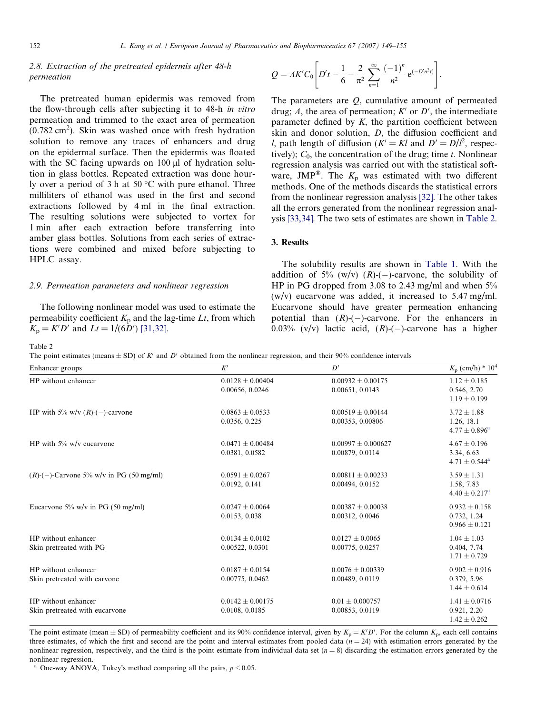# <span id="page-3-0"></span>2.8. Extraction of the pretreated epidermis after 48-h permeation

The pretreated human epidermis was removed from the flow-through cells after subjecting it to 48-h in vitro permeation and trimmed to the exact area of permeation  $(0.782 \text{ cm}^2)$ . Skin was washed once with fresh hydration solution to remove any traces of enhancers and drug on the epidermal surface. Then the epidermis was floated with the SC facing upwards on 100 µ of hydration solution in glass bottles. Repeated extraction was done hourly over a period of 3 h at 50  $\degree$ C with pure ethanol. Three milliliters of ethanol was used in the first and second extractions followed by 4 ml in the final extraction. The resulting solutions were subjected to vortex for 1 min after each extraction before transferring into amber glass bottles. Solutions from each series of extractions were combined and mixed before subjecting to HPLC assay.

# 2.9. Permeation parameters and nonlinear regression

The following nonlinear model was used to estimate the permeability coefficient  $K_p$  and the lag-time Lt, from which  $K_{\rm p} = K'D'$  and  $Lt = 1/(6D')$  [\[31,32\].](#page-6-0)

$$
Q = AK'C_0\left[D't - \frac{1}{6} - \frac{2}{\pi^2}\sum_{n=1}^{\infty}\frac{(-1)^n}{n^2}e^{(-D'n^2t)}\right].
$$

The parameters are  $Q$ , cumulative amount of permeated drug; A, the area of permeation;  $K'$  or  $D'$ , the intermediate parameter defined by  $K$ , the partition coefficient between skin and donor solution, D, the diffusion coefficient and *l*, path length of diffusion ( $K' = Kl$  and  $D' = D/l^2$ , respectively);  $C_0$ , the concentration of the drug; time t. Nonlinear regression analysis was carried out with the statistical software, JMP<sup>®</sup>. The  $K_p$  was estimated with two different methods. One of the methods discards the statistical errors from the nonlinear regression analysis [\[32\]](#page-6-0). The other takes all the errors generated from the nonlinear regression analysis [\[33,34\].](#page-6-0) The two sets of estimates are shown in Table 2.

# 3. Results

The solubility results are shown in [Table 1](#page-2-0). With the addition of 5% (w/v)  $(R)$ -(-)-carvone, the solubility of HP in PG dropped from 3.08 to 2.43 mg/ml and when 5% (w/v) eucarvone was added, it increased to 5.47 mg/ml. Eucarvone should have greater permeation enhancing potential than  $(R)$ -(-)-carvone. For the enhancers in 0.03% (v/v) lactic acid,  $(R)$ -(-)-carvone has a higher

#### Table 2

The point estimates (means  $\pm$  SD) of K' and D' obtained from the nonlinear regression, and their 90% confidence intervals

| Enhancer groups                                       | K'                                     | D'                                        | $K_p$ (cm/h) * 10 <sup>4</sup>                             |
|-------------------------------------------------------|----------------------------------------|-------------------------------------------|------------------------------------------------------------|
| HP without enhancer                                   | $0.0128 + 0.00404$<br>0.00656, 0.0246  | $0.00932 \pm 0.00175$<br>0.00651, 0.0143  | $1.12 \pm 0.185$<br>0.546, 2.70<br>$1.19 \pm 0.199$        |
| HP with 5% w/v $(R)$ - $(-)$ -carvone                 | $0.0863 \pm 0.0533$<br>0.0356, 0.225   | $0.00519 \pm 0.00144$<br>0.00353, 0.00806 | $3.72 \pm 1.88$<br>1.26, 18.1<br>$4.77 \pm 0.896^{\rm a}$  |
| HP with $5\%$ w/v eucarvone                           | $0.0471 \pm 0.00484$<br>0.0381, 0.0582 | $0.00997 \pm 0.000627$<br>0.00879, 0.0114 | $4.67 \pm 0.196$<br>3.34, 6.63<br>$4.71 \pm 0.544^{\rm a}$ |
| $(R)$ -(-)-Carvone 5% w/v in PG (50 mg/ml)            | $0.0591 \pm 0.0267$<br>0.0192, 0.141   | $0.00811 \pm 0.00233$<br>0.00494, 0.0152  | $3.59 \pm 1.31$<br>1.58, 7.83<br>$4.40 \pm 0.217^{\rm a}$  |
| Eucarvone $5\%$ w/v in PG (50 mg/ml)                  | $0.0247 + 0.0064$<br>0.0153, 0.038     | $0.00387 + 0.00038$<br>0.00312, 0.0046    | $0.932 \pm 0.158$<br>0.732, 1.24<br>$0.966 \pm 0.121$      |
| HP without enhancer<br>Skin pretreated with PG        | $0.0134 \pm 0.0102$<br>0.00522, 0.0301 | $0.0127 \pm 0.0065$<br>0.00775, 0.0257    | $1.04 \pm 1.03$<br>0.404, 7.74<br>$1.71 \pm 0.729$         |
| HP without enhancer<br>Skin pretreated with carvone   | $0.0187 + 0.0154$<br>0.00775, 0.0462   | $0.0076 + 0.00339$<br>0.00489, 0.0119     | $0.902 \pm 0.916$<br>0.379, 5.96<br>$1.44 \pm 0.614$       |
| HP without enhancer<br>Skin pretreated with eucarvone | $0.0142 + 0.00175$<br>0.0108, 0.0185   | $0.01 \pm 0.000757$<br>0.00853, 0.0119    | $1.41 \pm 0.0716$<br>0.921, 2.20<br>$1.42 \pm 0.262$       |

The point estimate (mean  $\pm$  SD) of permeability coefficient and its 90% confidence interval, given by  $K_p = K'D'$ . For the column  $K_p$ , each cell contains three estimates, of which the first and second are the point and interval estimates from pooled data  $(n = 24)$  with estimation errors generated by the nonlinear regression, respectively, and the third is the point estimate from individual data set  $(n = 8)$  discarding the estimation errors generated by the nonlinear regression.

<sup>a</sup> One-way ANOVA, Tukey's method comparing all the pairs,  $p < 0.05$ .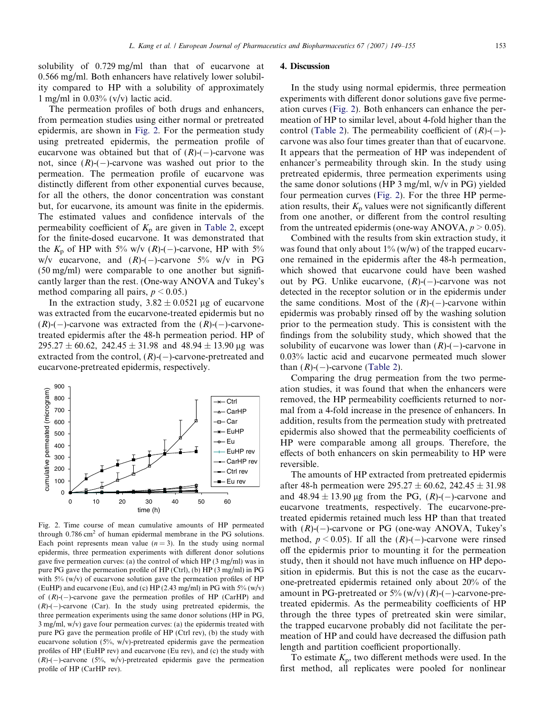The permeation profiles of both drugs and enhancers, from permeation studies using either normal or pretreated epidermis, are shown in Fig. 2. For the permeation study using pretreated epidermis, the permeation profile of eucarvone was obtained but that of  $(R)$ - $(-)$ -carvone was not, since  $(R)$ -(-)-carvone was washed out prior to the permeation. The permeation profile of eucarvone was distinctly different from other exponential curves because, for all the others, the donor concentration was constant but, for eucarvone, its amount was finite in the epidermis. The estimated values and confidence intervals of the permeability coefficient of  $K_p$  are given in [Table 2](#page-3-0), except for the finite-dosed eucarvone. It was demonstrated that the  $K_p$  of HP with 5% w/v (R)-(-)-carvone, HP with 5% w/v eucarvone, and  $(R)$ - $(-)$ -carvone 5% w/v in PG (50 mg/ml) were comparable to one another but significantly larger than the rest. (One-way ANOVA and Tukey's method comparing all pairs,  $p \le 0.05$ .

In the extraction study,  $3.82 \pm 0.0521$  µg of eucarvone was extracted from the eucarvone-treated epidermis but no  $(R)$ -(-)-carvone was extracted from the  $(R)$ -(-)-carvonetreated epidermis after the 48-h permeation period. HP of  $295.27 \pm 60.62$ ,  $242.45 \pm 31.98$  and  $48.94 \pm 13.90$  µg was extracted from the control,  $(R)$ - $(-)$ -carvone-pretreated and eucarvone-pretreated epidermis, respectively.



Fig. 2. Time course of mean cumulative amounts of HP permeated through  $0.786 \text{ cm}^2$  of human epidermal membrane in the PG solutions. Each point represents mean value  $(n = 3)$ . In the study using normal epidermis, three permeation experiments with different donor solutions gave five permeation curves: (a) the control of which HP (3 mg/ml) was in pure PG gave the permeation profile of HP (Ctrl), (b) HP (3 mg/ml) in PG with  $5\%$  (w/v) of eucarvone solution gave the permeation profiles of HP (EuHP) and eucarvone (Eu), and (c) HP (2.43 mg/ml) in PG with  $5\%$  (w/v) of  $(R)$ - $(-)$ -carvone gave the permeation profiles of HP (CarHP) and  $(R)$ -(-)-carvone (Car). In the study using pretreated epidermis, the three permeation experiments using the same donor solutions (HP in PG, 3 mg/ml, w/v) gave four permeation curves: (a) the epidermis treated with pure PG gave the permeation profile of HP (Ctrl rev), (b) the study with eucarvone solution (5%, w/v)-pretreated epidermis gave the permeation profiles of HP (EuHP rev) and eucarvone (Eu rev), and (c) the study with  $(R)$ -(-)-carvone (5%, w/v)-pretreated epidermis gave the permeation profile of HP (CarHP rev).

## 4. Discussion

In the study using normal epidermis, three permeation experiments with different donor solutions gave five permeation curves (Fig. 2). Both enhancers can enhance the permeation of HP to similar level, about 4-fold higher than the control [\(Table 2](#page-3-0)). The permeability coefficient of  $(R)$ - $(-)$ carvone was also four times greater than that of eucarvone. It appears that the permeation of HP was independent of enhancer's permeability through skin. In the study using pretreated epidermis, three permeation experiments using the same donor solutions (HP 3 mg/ml, w/v in PG) yielded four permeation curves (Fig. 2). For the three HP permeation results, their  $K_p$  values were not significantly different from one another, or different from the control resulting from the untreated epidermis (one-way ANOVA,  $p > 0.05$ ).

Combined with the results from skin extraction study, it was found that only about  $1\%$  (w/w) of the trapped eucarvone remained in the epidermis after the 48-h permeation, which showed that eucarvone could have been washed out by PG. Unlike eucarvone,  $(R)$ - $(-)$ -carvone was not detected in the receptor solution or in the epidermis under the same conditions. Most of the  $(R)$ -(-)-carvone within epidermis was probably rinsed off by the washing solution prior to the permeation study. This is consistent with the findings from the solubility study, which showed that the solubility of eucarvone was lower than  $(R)$ - $(-)$ -carvone in 0.03% lactic acid and eucarvone permeated much slower than  $(R)$ - $(-)$ -carvone [\(Table 2\)](#page-3-0).

Comparing the drug permeation from the two permeation studies, it was found that when the enhancers were removed, the HP permeability coefficients returned to normal from a 4-fold increase in the presence of enhancers. In addition, results from the permeation study with pretreated epidermis also showed that the permeability coefficients of HP were comparable among all groups. Therefore, the effects of both enhancers on skin permeability to HP were reversible.

The amounts of HP extracted from pretreated epidermis after 48-h permeation were  $295.27 \pm 60.62$ ,  $242.45 \pm 31.98$ and  $48.94 \pm 13.90 \,\mu$ g from the PG,  $(R)$ -(-)-carvone and eucarvone treatments, respectively. The eucarvone-pretreated epidermis retained much less HP than that treated with  $(R)$ - $(-)$ -carvone or PG (one-way ANOVA, Tukey's method,  $p < 0.05$ ). If all the  $(R)$ -(-)-carvone were rinsed off the epidermis prior to mounting it for the permeation study, then it should not have much influence on HP deposition in epidermis. But this is not the case as the eucarvone-pretreated epidermis retained only about 20% of the amount in PG-pretreated or  $5\%$  (w/v)  $(R)$ -(-)-carvone-pretreated epidermis. As the permeability coefficients of HP through the three types of pretreated skin were similar, the trapped eucarvone probably did not facilitate the permeation of HP and could have decreased the diffusion path length and partition coefficient proportionally.

To estimate  $K_p$ , two different methods were used. In the first method, all replicates were pooled for nonlinear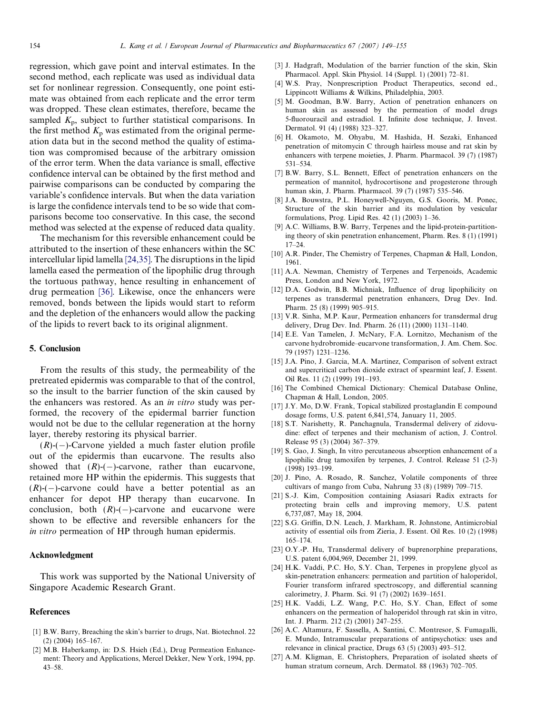<span id="page-5-0"></span>regression, which gave point and interval estimates. In the second method, each replicate was used as individual data set for nonlinear regression. Consequently, one point estimate was obtained from each replicate and the error term was dropped. These clean estimates, therefore, became the sampled  $K_p$ , subject to further statistical comparisons. In the first method  $K_p$  was estimated from the original permeation data but in the second method the quality of estimation was compromised because of the arbitrary omission of the error term. When the data variance is small, effective confidence interval can be obtained by the first method and pairwise comparisons can be conducted by comparing the variable's confidence intervals. But when the data variation is large the confidence intervals tend to be so wide that comparisons become too conservative. In this case, the second method was selected at the expense of reduced data quality.

The mechanism for this reversible enhancement could be attributed to the insertion of these enhancers within the SC intercellular lipid lamella [24,35]. The disruptions in the lipid lamella eased the permeation of the lipophilic drug through the tortuous pathway, hence resulting in enhancement of drug permeation [\[36\].](#page-6-0) Likewise, once the enhancers were removed, bonds between the lipids would start to reform and the depletion of the enhancers would allow the packing of the lipids to revert back to its original alignment.

# 5. Conclusion

From the results of this study, the permeability of the pretreated epidermis was comparable to that of the control, so the insult to the barrier function of the skin caused by the enhancers was restored. As an in vitro study was performed, the recovery of the epidermal barrier function would not be due to the cellular regeneration at the horny layer, thereby restoring its physical barrier.

 $(R)$ -(-)-Carvone yielded a much faster elution profile out of the epidermis than eucarvone. The results also showed that  $(R)$ -(-)-carvone, rather than eucarvone, retained more HP within the epidermis. This suggests that  $(R)$ - $(-)$ -carvone could have a better potential as an enhancer for depot HP therapy than eucarvone. In conclusion, both  $(R)$ -(-)-carvone and eucarvone were shown to be effective and reversible enhancers for the in vitro permeation of HP through human epidermis.

## Acknowledgment

This work was supported by the National University of Singapore Academic Research Grant.

# References

- [1] B.W. Barry, Breaching the skin's barrier to drugs, Nat. Biotechnol. 22 (2) (2004) 165–167.
- [2] M.B. Haberkamp, in: D.S. Hsieh (Ed.), Drug Permeation Enhancement: Theory and Applications, Mercel Dekker, New York, 1994, pp. 43–58.
- [3] J. Hadgraft, Modulation of the barrier function of the skin, Skin Pharmacol. Appl. Skin Physiol. 14 (Suppl. 1) (2001) 72–81.
- [4] W.S. Pray, Nonprescription Product Therapeutics, second ed., Lippincott Williams & Wilkins, Philadelphia, 2003.
- [5] M. Goodman, B.W. Barry, Action of penetration enhancers on human skin as assessed by the permeation of model drugs 5-fluorouracil and estradiol. I. Infinite dose technique, J. Invest. Dermatol. 91 (4) (1988) 323–327.
- [6] H. Okamoto, M. Ohyabu, M. Hashida, H. Sezaki, Enhanced penetration of mitomycin C through hairless mouse and rat skin by enhancers with terpene moieties, J. Pharm. Pharmacol. 39 (7) (1987) 531–534.
- [7] B.W. Barry, S.L. Bennett, Effect of penetration enhancers on the permeation of mannitol, hydrocortisone and progesterone through human skin, J. Pharm. Pharmacol. 39 (7) (1987) 535–546.
- [8] J.A. Bouwstra, P.L. Honeywell-Nguyen, G.S. Gooris, M. Ponec, Structure of the skin barrier and its modulation by vesicular formulations, Prog. Lipid Res. 42 (1) (2003) 1–36.
- [9] A.C. Williams, B.W. Barry, Terpenes and the lipid-protein-partitioning theory of skin penetration enhancement, Pharm. Res. 8 (1) (1991) 17–24.
- [10] A.R. Pinder, The Chemistry of Terpenes, Chapman & Hall, London, 1961.
- [11] A.A. Newman, Chemistry of Terpenes and Terpenoids, Academic Press, London and New York, 1972.
- [12] D.A. Godwin, B.B. Michniak, Influence of drug lipophilicity on terpenes as transdermal penetration enhancers, Drug Dev. Ind. Pharm. 25 (8) (1999) 905–915.
- [13] V.R. Sinha, M.P. Kaur, Permeation enhancers for transdermal drug delivery, Drug Dev. Ind. Pharm. 26 (11) (2000) 1131–1140.
- [14] E.E. Van Tamelen, J. McNary, F.A. Lornitzo, Mechanism of the carvone hydrobromide–eucarvone transformation, J. Am. Chem. Soc. 79 (1957) 1231–1236.
- [15] J.A. Pino, J. Garcia, M.A. Martinez, Comparison of solvent extract and supercritical carbon dioxide extract of spearmint leaf, J. Essent. Oil Res. 11 (2) (1999) 191–193.
- [16] The Combined Chemical Dictionary: Chemical Database Online, Chapman & Hall, London, 2005.
- [17] J.Y. Mo, D.W. Frank, Topical stabilized prostaglandin E compound dosage forms, U.S. patent 6,841,574, January 11, 2005.
- [18] S.T. Narishetty, R. Panchagnula, Transdermal delivery of zidovudine: effect of terpenes and their mechanism of action, J. Control. Release 95 (3) (2004) 367–379.
- [19] S. Gao, J. Singh, In vitro percutaneous absorption enhancement of a lipophilic drug tamoxifen by terpenes, J. Control. Release 51 (2-3) (1998) 193–199.
- [20] J. Pino, A. Rosado, R. Sanchez, Volatile components of three cultivars of mango from Cuba, Nahrung 33 (8) (1989) 709–715.
- [21] S.-J. Kim, Composition containing Asiasari Radix extracts for protecting brain cells and improving memory, U.S. patent 6,737,087, May 18, 2004.
- [22] S.G. Griffin, D.N. Leach, J. Markham, R. Johnstone, Antimicrobial activity of essential oils from Zieria, J. Essent. Oil Res. 10 (2) (1998) 165–174.
- [23] O.Y.-P. Hu, Transdermal delivery of buprenorphine preparations, U.S. patent 6,004,969, December 21, 1999.
- [24] H.K. Vaddi, P.C. Ho, S.Y. Chan, Terpenes in propylene glycol as skin-penetration enhancers: permeation and partition of haloperidol, Fourier transform infrared spectroscopy, and differential scanning calorimetry, J. Pharm. Sci. 91 (7) (2002) 1639–1651.
- [25] H.K. Vaddi, L.Z. Wang, P.C. Ho, S.Y. Chan, Effect of some enhancers on the permeation of haloperidol through rat skin in vitro, Int. J. Pharm. 212 (2) (2001) 247–255.
- [26] A.C. Altamura, F. Sassella, A. Santini, C. Montresor, S. Fumagalli, E. Mundo, Intramuscular preparations of antipsychotics: uses and relevance in clinical practice, Drugs 63 (5) (2003) 493–512.
- [27] A.M. Kligman, E. Christophers, Preparation of isolated sheets of human stratum corneum, Arch. Dermatol. 88 (1963) 702–705.